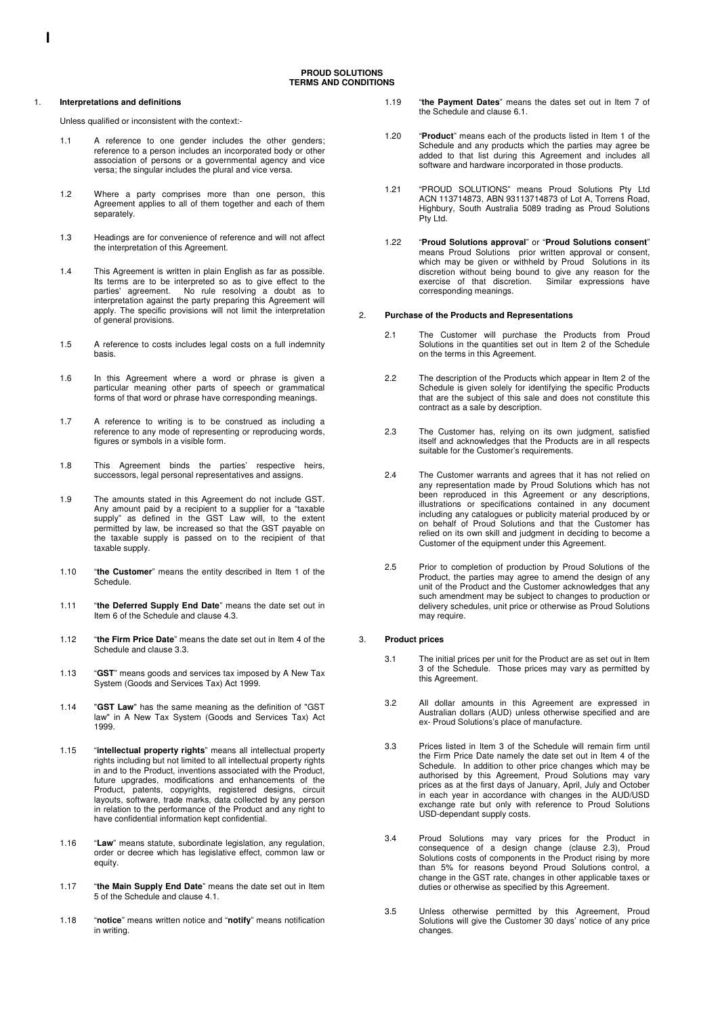#### 1. **Interpretations and definitions**

Unless qualified or inconsistent with the context:-

- 1.1 A reference to one gender includes the other genders; reference to a person includes an incorporated body or other association of persons or a governmental agency and vice versa; the singular includes the plural and vice versa.
- 1.2 Where a party comprises more than one person, this Agreement applies to all of them together and each of them separately.
- 1.3 Headings are for convenience of reference and will not affect the interpretation of this Agreement.
- 1.4 This Agreement is written in plain English as far as possible. Its terms are to be interpreted so as to give effect to the parties' agreement. No rule resolving a doubt as to interpretation against the party preparing this Agreement will apply. The specific provisions will not limit the interpretation of general provisions.
- 1.5 A reference to costs includes legal costs on a full indemnity basis.
- 1.6 In this Agreement where a word or phrase is given a particular meaning other parts of speech or grammatical forms of that word or phrase have corresponding meanings.
- 1.7 A reference to writing is to be construed as including a reference to any mode of representing or reproducing words, figures or symbols in a visible form.
- 1.8 This Agreement binds the parties' respective heirs, successors, legal personal representatives and assigns.
- 1.9 The amounts stated in this Agreement do not include GST. Any amount paid by a recipient to a supplier for a "taxable supply" as defined in the GST Law will, to the extent permitted by law, be increased so that the GST payable on the taxable supply is passed on to the recipient of that taxable supply.
- 1.10 "**the Customer**" means the entity described in Item 1 of the Schedule.
- 1.11 "**the Deferred Supply End Date**" means the date set out in Item 6 of the Schedule and clause 4.3.
- 1.12 "**the Firm Price Date**" means the date set out in Item 4 of the Schedule and clause 3.3.
- 1.13 "**GST**" means goods and services tax imposed by A New Tax System (Goods and Services Tax) Act 1999.
- 1.14 "**GST Law**" has the same meaning as the definition of "GST law" in A New Tax System (Goods and Services Tax) Act 1999.
- 1.15 "**intellectual property rights**" means all intellectual property rights including but not limited to all intellectual property rights in and to the Product, inventions associated with the Product, future upgrades, modifications and enhancements of the Product, patents, copyrights, registered designs, circuit layouts, software, trade marks, data collected by any person in relation to the performance of the Product and any right to have confidential information kept confidential.
- 1.16 "**Law**" means statute, subordinate legislation, any regulation, order or decree which has legislative effect, common law or equity.
- 1.17 "**the Main Supply End Date**" means the date set out in Item 5 of the Schedule and clause 4.1.
- 1.18 "**notice**" means written notice and "**notify**" means notification in writing.
- 1.19 "**the Payment Dates**" means the dates set out in Item 7 of the Schedule and clause 6.1.
- 1.20 "**Product**" means each of the products listed in Item 1 of the Schedule and any products which the parties may agree be added to that list during this Agreement and includes all software and hardware incorporated in those products.
- 1.21 "PROUD SOLUTIONS" means Proud Solutions Pty Ltd ACN 113714873, ABN 93113714873 of Lot A, Torrens Road, Highbury, South Australia 5089 trading as Proud Solutions Pty Ltd.
- 1.22 "**Proud Solutions approval**" or "**Proud Solutions consent**" means Proud Solutions prior written approval or consent, which may be given or withheld by Proud Solutions in its discretion without being bound to give any reason for the exercise of that discretion. Similar expressions have corresponding meanings.

### 2. **Purchase of the Products and Representations**

- 2.1 The Customer will purchase the Products from Proud Solutions in the quantities set out in Item 2 of the Schedule on the terms in this Agreement.
- 2.2 The description of the Products which appear in Item 2 of the Schedule is given solely for identifying the specific Products that are the subject of this sale and does not constitute this contract as a sale by description.
- 2.3 The Customer has, relying on its own judgment, satisfied itself and acknowledges that the Products are in all respects suitable for the Customer's requirements.
- 2.4 The Customer warrants and agrees that it has not relied on any representation made by Proud Solutions which has not been reproduced in this Agreement or any descriptions, illustrations or specifications contained in any document including any catalogues or publicity material produced by or on behalf of Proud Solutions and that the Customer has relied on its own skill and judgment in deciding to become a Customer of the equipment under this Agreement.
- 2.5 Prior to completion of production by Proud Solutions of the Product, the parties may agree to amend the design of any unit of the Product and the Customer acknowledges that any such amendment may be subject to changes to production or delivery schedules, unit price or otherwise as Proud Solutions may require.

## 3. **Product prices**

- 3.1 The initial prices per unit for the Product are as set out in Item 3 of the Schedule. Those prices may vary as permitted by this Agreement.
- 3.2 All dollar amounts in this Agreement are expressed in Australian dollars (AUD) unless otherwise specified and are ex- Proud Solutions's place of manufacture.
- 3.3 Prices listed in Item 3 of the Schedule will remain firm until the Firm Price Date namely the date set out in Item 4 of the Schedule. In addition to other price changes which may be authorised by this Agreement, Proud Solutions may vary prices as at the first days of January, April, July and October in each year in accordance with changes in the AUD/USD exchange rate but only with reference to Proud Solutions USD-dependant supply costs.
- 3.4 Proud Solutions may vary prices for the Product in consequence of a design change (clause 2.3), Proud Solutions costs of components in the Product rising by more than 5% for reasons beyond Proud Solutions control, a change in the GST rate, changes in other applicable taxes or duties or otherwise as specified by this Agreement.
- 3.5 Unless otherwise permitted by this Agreement, Proud Solutions will give the Customer 30 days' notice of any price changes.

**I**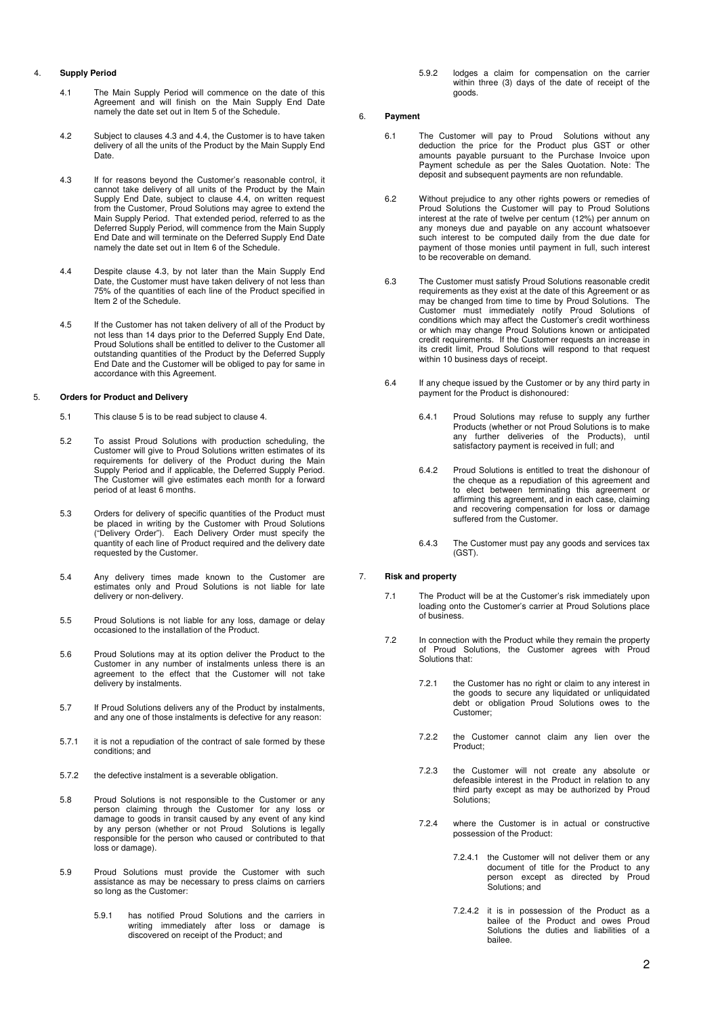# 4. **Supply Period**

- 4.1 The Main Supply Period will commence on the date of this Agreement and will finish on the Main Supply End Date namely the date set out in Item 5 of the Schedule.
- 4.2 Subject to clauses 4.3 and 4.4, the Customer is to have taken delivery of all the units of the Product by the Main Supply End Date.
- 4.3 If for reasons beyond the Customer's reasonable control, it cannot take delivery of all units of the Product by the Main Supply End Date, subject to clause 4.4, on written request from the Customer, Proud Solutions may agree to extend the Main Supply Period. That extended period, referred to as the Deferred Supply Period, will commence from the Main Supply End Date and will terminate on the Deferred Supply End Date namely the date set out in Item 6 of the Schedule.
- 4.4 Despite clause 4.3, by not later than the Main Supply End Date, the Customer must have taken delivery of not less than 75% of the quantities of each line of the Product specified in Item 2 of the Schedule.
- 4.5 If the Customer has not taken delivery of all of the Product by not less than 14 days prior to the Deferred Supply End Date, Proud Solutions shall be entitled to deliver to the Customer all outstanding quantities of the Product by the Deferred Supply End Date and the Customer will be obliged to pay for same in accordance with this Agreement.

# 5. **Orders for Product and Delivery**

- 5.1 This clause 5 is to be read subject to clause 4.
- 5.2 To assist Proud Solutions with production scheduling, the Customer will give to Proud Solutions written estimates of its requirements for delivery of the Product during the Main Supply Period and if applicable, the Deferred Supply Period. The Customer will give estimates each month for a forward period of at least 6 months.
- 5.3 Orders for delivery of specific quantities of the Product must be placed in writing by the Customer with Proud Solutions ("Delivery Order"). Each Delivery Order must specify the quantity of each line of Product required and the delivery date requested by the Customer.
- 5.4 Any delivery times made known to the Customer are estimates only and Proud Solutions is not liable for late delivery or non-delivery.
- 5.5 Proud Solutions is not liable for any loss, damage or delay occasioned to the installation of the Product.
- 5.6 Proud Solutions may at its option deliver the Product to the Customer in any number of instalments unless there is an agreement to the effect that the Customer will not take delivery by instalments.
- 5.7 If Proud Solutions delivers any of the Product by instalments, and any one of those instalments is defective for any reason:
- 5.7.1 it is not a repudiation of the contract of sale formed by these conditions; and
- 5.7.2 the defective instalment is a severable obligation.
- 5.8 Proud Solutions is not responsible to the Customer or any person claiming through the Customer for any loss or damage to goods in transit caused by any event of any kind by any person (whether or not Proud Solutions is legally responsible for the person who caused or contributed to that loss or damage).
- 5.9 Proud Solutions must provide the Customer with such assistance as may be necessary to press claims on carriers so long as the Customer:
	- 5.9.1 has notified Proud Solutions and the carriers in writing immediately after loss or damage is discovered on receipt of the Product; and

5.9.2 lodges a claim for compensation on the carrier within three (3) days of the date of receipt of the goods.

## 6. **Payment**

- 6.1 The Customer will pay to Proud Solutions without any deduction the price for the Product plus GST or other amounts payable pursuant to the Purchase Invoice upon Payment schedule as per the Sales Quotation. Note: The deposit and subsequent payments are non refundable.
- 6.2 Without prejudice to any other rights powers or remedies of Proud Solutions the Customer will pay to Proud Solutions interest at the rate of twelve per centum (12%) per annum on any moneys due and payable on any account whatsoever such interest to be computed daily from the due date for payment of those monies until payment in full, such interest to be recoverable on demand.
- 6.3 The Customer must satisfy Proud Solutions reasonable credit requirements as they exist at the date of this Agreement or as may be changed from time to time by Proud Solutions. The Customer must immediately notify Proud Solutions of conditions which may affect the Customer's credit worthiness or which may change Proud Solutions known or anticipated credit requirements. If the Customer requests an increase in its credit limit, Proud Solutions will respond to that request within 10 business days of receipt.
- 6.4 If any cheque issued by the Customer or by any third party in payment for the Product is dishonoured:
	- 6.4.1 Proud Solutions may refuse to supply any further Products (whether or not Proud Solutions is to make any further deliveries of the Products), until satisfactory payment is received in full; and
	- 6.4.2 Proud Solutions is entitled to treat the dishonour of the cheque as a repudiation of this agreement and to elect between terminating this agreement or affirming this agreement, and in each case, claiming and recovering compensation for loss or damage suffered from the Customer.
	- 6.4.3 The Customer must pay any goods and services tax  $(GST)$

# 7. **Risk and property**

- 7.1 The Product will be at the Customer's risk immediately upon loading onto the Customer's carrier at Proud Solutions place of business.
- 7.2 In connection with the Product while they remain the property of Proud Solutions, the Customer agrees with Proud Solutions that:
	- 7.2.1 the Customer has no right or claim to any interest in the goods to secure any liquidated or unliquidated debt or obligation Proud Solutions owes to the Customer;
	- 7.2.2 the Customer cannot claim any lien over the Product;
	- 7.2.3 the Customer will not create any absolute or defeasible interest in the Product in relation to any third party except as may be authorized by Proud Solutions;
	- 7.2.4 where the Customer is in actual or constructive possession of the Product:
		- 7.2.4.1 the Customer will not deliver them or any document of title for the Product to any person except as directed by Proud Solutions; and
		- 7.2.4.2 it is in possession of the Product as a bailee of the Product and owes Proud Solutions the duties and liabilities of a bailee.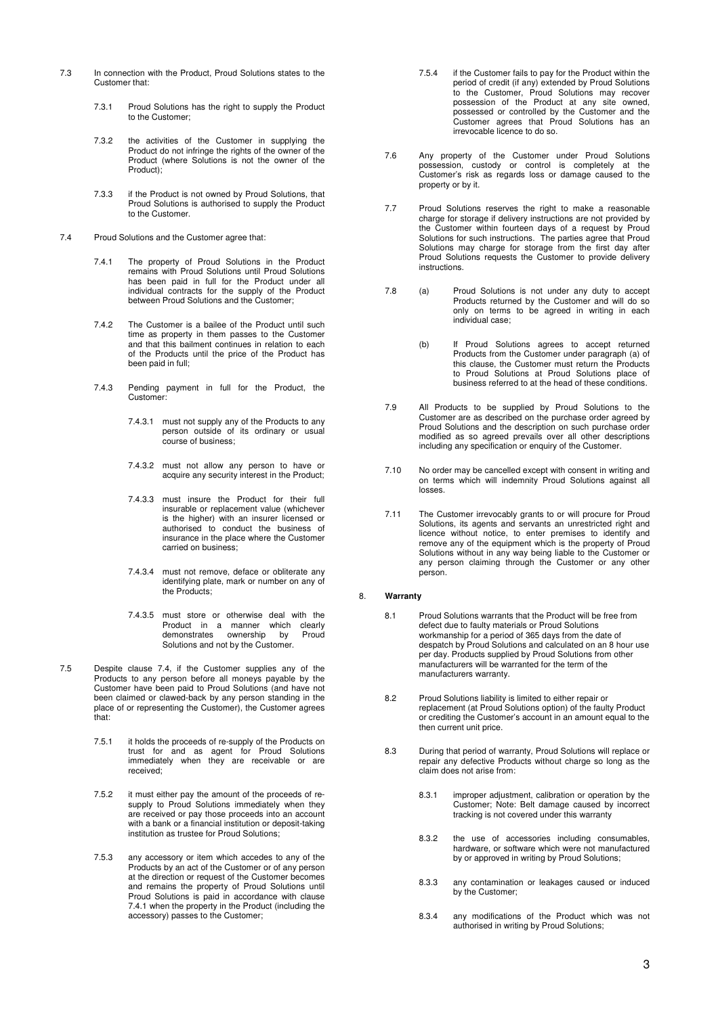- 7.3 In connection with the Product, Proud Solutions states to the Customer that:
	- 7.3.1 Proud Solutions has the right to supply the Product to the Customer;
	- 7.3.2 the activities of the Customer in supplying the Product do not infringe the rights of the owner of the Product (where Solutions is not the owner of the Product);
	- 7.3.3 if the Product is not owned by Proud Solutions, that Proud Solutions is authorised to supply the Product to the Customer.
- 7.4 Proud Solutions and the Customer agree that:
	- 7.4.1 The property of Proud Solutions in the Product remains with Proud Solutions until Proud Solutions has been paid in full for the Product under all individual contracts for the supply of the Product between Proud Solutions and the Customer;
	- 7.4.2 The Customer is a bailee of the Product until such time as property in them passes to the Customer and that this bailment continues in relation to each of the Products until the price of the Product has been paid in full;
	- 7.4.3 Pending payment in full for the Product, the Customer:
		- 7.4.3.1 must not supply any of the Products to any person outside of its ordinary or usual course of business;
		- 7.4.3.2 must not allow any person to have or acquire any security interest in the Product;
		- 7.4.3.3 must insure the Product for their full insurable or replacement value (whichever is the higher) with an insurer licensed or authorised to conduct the business of insurance in the place where the Customer carried on business;
		- 7.4.3.4 must not remove, deface or obliterate any identifying plate, mark or number on any of the Products;
		- 7.4.3.5 must store or otherwise deal with the Product in a manner which clearly<br>demonstrates ownership by Proud demonstrates ownership by Solutions and not by the Customer.
- 7.5 Despite clause 7.4, if the Customer supplies any of the Products to any person before all moneys payable by the Customer have been paid to Proud Solutions (and have not been claimed or clawed-back by any person standing in the place of or representing the Customer), the Customer agrees that:
	- 7.5.1 it holds the proceeds of re-supply of the Products on trust for and as agent for Proud Solutions immediately when they are receivable or are received;
	- 7.5.2 it must either pay the amount of the proceeds of resupply to Proud Solutions immediately when they are received or pay those proceeds into an account with a bank or a financial institution or deposit-taking institution as trustee for Proud Solutions;
	- 7.5.3 any accessory or item which accedes to any of the Products by an act of the Customer or of any person at the direction or request of the Customer becomes and remains the property of Proud Solutions until Proud Solutions is paid in accordance with clause 7.4.1 when the property in the Product (including the accessory) passes to the Customer;
- 7.5.4 if the Customer fails to pay for the Product within the period of credit (if any) extended by Proud Solutions to the Customer, Proud Solutions may recover possession of the Product at any site owned, possessed or controlled by the Customer and the Customer agrees that Proud Solutions has an irrevocable licence to do so.
- 7.6 Any property of the Customer under Proud Solutions possession, custody or control is completely at the Customer's risk as regards loss or damage caused to the property or by it.
- 7.7 Proud Solutions reserves the right to make a reasonable charge for storage if delivery instructions are not provided by the Customer within fourteen days of a request by Proud Solutions for such instructions. The parties agree that Proud Solutions may charge for storage from the first day after Proud Solutions requests the Customer to provide delivery instructions.
- 7.8 (a) Proud Solutions is not under any duty to accept Products returned by the Customer and will do so only on terms to be agreed in writing in each individual case;
	- (b) If Proud Solutions agrees to accept returned Products from the Customer under paragraph (a) of this clause, the Customer must return the Products to Proud Solutions at Proud Solutions place of business referred to at the head of these conditions.
- 7.9 All Products to be supplied by Proud Solutions to the Customer are as described on the purchase order agreed by Proud Solutions and the description on such purchase order modified as so agreed prevails over all other descriptions including any specification or enquiry of the Customer.
- 7.10 No order may be cancelled except with consent in writing and on terms which will indemnity Proud Solutions against all losses.
- 7.11 The Customer irrevocably grants to or will procure for Proud Solutions, its agents and servants an unrestricted right and licence without notice, to enter premises to identify and remove any of the equipment which is the property of Proud Solutions without in any way being liable to the Customer or any person claiming through the Customer or any other person.

### 8. **Warranty**

- 8.1 Proud Solutions warrants that the Product will be free from defect due to faulty materials or Proud Solutions workmanship for a period of 365 days from the date of despatch by Proud Solutions and calculated on an 8 hour use per day. Products supplied by Proud Solutions from other manufacturers will be warranted for the term of the manufacturers warranty.
- 8.2 Proud Solutions liability is limited to either repair or replacement (at Proud Solutions option) of the faulty Product or crediting the Customer's account in an amount equal to the then current unit price.
- 8.3 During that period of warranty, Proud Solutions will replace or repair any defective Products without charge so long as the claim does not arise from:
	- 8.3.1 improper adjustment, calibration or operation by the Customer; Note: Belt damage caused by incorrect tracking is not covered under this warranty
	- 8.3.2 the use of accessories including consumables, hardware, or software which were not manufactured by or approved in writing by Proud Solutions;
	- 8.3.3 any contamination or leakages caused or induced by the Customer;
	- 8.3.4 any modifications of the Product which was not authorised in writing by Proud Solutions;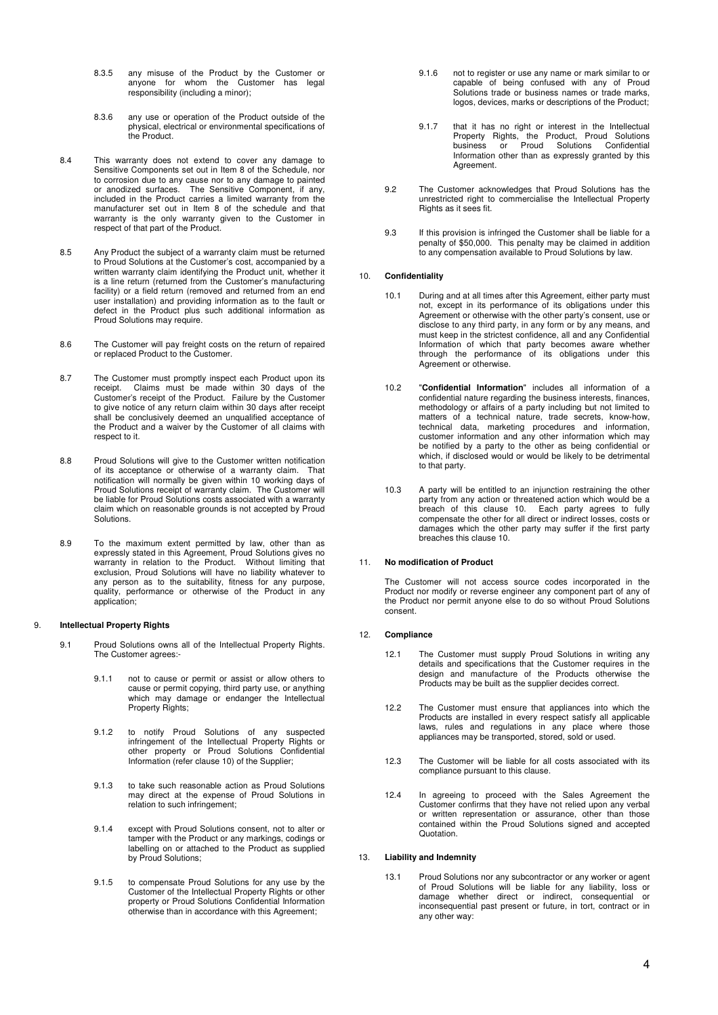- 8.3.5 any misuse of the Product by the Customer or anyone for whom the Customer has legal responsibility (including a minor);
- 8.3.6 any use or operation of the Product outside of the physical, electrical or environmental specifications of the Product.
- 8.4 This warranty does not extend to cover any damage to Sensitive Components set out in Item 8 of the Schedule, nor to corrosion due to any cause nor to any damage to painted or anodized surfaces. The Sensitive Component, if any, included in the Product carries a limited warranty from the manufacturer set out in Item 8 of the schedule and that warranty is the only warranty given to the Customer in respect of that part of the Product.
- 8.5 Any Product the subject of a warranty claim must be returned to Proud Solutions at the Customer's cost, accompanied by a written warranty claim identifying the Product unit, whether it is a line return (returned from the Customer's manufacturing facility) or a field return (removed and returned from an end user installation) and providing information as to the fault or defect in the Product plus such additional information as Proud Solutions may require.
- 8.6 The Customer will pay freight costs on the return of repaired or replaced Product to the Customer.
- 8.7 The Customer must promptly inspect each Product upon its receipt. Claims must be made within 30 days of the Customer's receipt of the Product. Failure by the Customer to give notice of any return claim within 30 days after receipt shall be conclusively deemed an unqualified acceptance of the Product and a waiver by the Customer of all claims with respect to it.
- 8.8 Proud Solutions will give to the Customer written notification of its acceptance or otherwise of a warranty claim. That notification will normally be given within 10 working days of Proud Solutions receipt of warranty claim. The Customer will be liable for Proud Solutions costs associated with a warranty claim which on reasonable grounds is not accepted by Proud Solutions.
- 8.9 To the maximum extent permitted by law, other than as expressly stated in this Agreement, Proud Solutions gives no warranty in relation to the Product. Without limiting that exclusion, Proud Solutions will have no liability whatever to any person as to the suitability, fitness for any purpose, quality, performance or otherwise of the Product in any application;

### 9. **Intellectual Property Rights**

- 9.1 Proud Solutions owns all of the Intellectual Property Rights. The Customer agrees:-
	- 9.1.1 not to cause or permit or assist or allow others to cause or permit copying, third party use, or anything which may damage or endanger the Intellectual Property Rights;
	- 9.1.2 to notify Proud Solutions of any suspected infringement of the Intellectual Property Rights or other property or Proud Solutions Confidential Information (refer clause 10) of the Supplier;
	- 9.1.3 to take such reasonable action as Proud Solutions may direct at the expense of Proud Solutions in relation to such infringement;
	- 9.1.4 except with Proud Solutions consent, not to alter or tamper with the Product or any markings, codings or labelling on or attached to the Product as supplied by Proud Solutions;
	- 9.1.5 to compensate Proud Solutions for any use by the Customer of the Intellectual Property Rights or other property or Proud Solutions Confidential Information otherwise than in accordance with this Agreement;
- 9.1.6 not to register or use any name or mark similar to or capable of being confused with any of Proud Solutions trade or business names or trade marks, logos, devices, marks or descriptions of the Product;
- 9.1.7 that it has no right or interest in the Intellectual Property Rights, the Product, Proud Solutions business or Proud Solutions Confidential Information other than as expressly granted by this Agreement.
- 9.2 The Customer acknowledges that Proud Solutions has the unrestricted right to commercialise the Intellectual Property Rights as it sees fit.
- 9.3 If this provision is infringed the Customer shall be liable for a penalty of \$50,000. This penalty may be claimed in addition to any compensation available to Proud Solutions by law.

#### 10. **Confidentiality**

- 10.1 During and at all times after this Agreement, either party must not, except in its performance of its obligations under this Agreement or otherwise with the other party's consent, use or disclose to any third party, in any form or by any means, and must keep in the strictest confidence, all and any Confidential Information of which that party becomes aware whether through the performance of its obligations under this Agreement or otherwise.
- 10.2 "**Confidential Information**" includes all information of a confidential nature regarding the business interests, finances, methodology or affairs of a party including but not limited to matters of a technical nature, trade secrets, know-how, technical data, marketing procedures and information, customer information and any other information which may be notified by a party to the other as being confidential or which, if disclosed would or would be likely to be detrimental to that party.
- 10.3 A party will be entitled to an injunction restraining the other party from any action or threatened action which would be a breach of this clause 10. Each party agrees to fully compensate the other for all direct or indirect losses, costs or damages which the other party may suffer if the first party breaches this clause 10.

# 11. **No modification of Product**

The Customer will not access source codes incorporated in the Product nor modify or reverse engineer any component part of any of the Product nor permit anyone else to do so without Proud Solutions consent.

#### 12. **Compliance**

- 12.1 The Customer must supply Proud Solutions in writing any details and specifications that the Customer requires in the design and manufacture of the Products otherwise the Products may be built as the supplier decides correct.
- 12.2 The Customer must ensure that appliances into which the Products are installed in every respect satisfy all applicable laws, rules and regulations in any place where those appliances may be transported, stored, sold or used.
- 12.3 The Customer will be liable for all costs associated with its compliance pursuant to this clause.
- 12.4 In agreeing to proceed with the Sales Agreement the Customer confirms that they have not relied upon any verbal or written representation or assurance, other than those contained within the Proud Solutions signed and accepted Quotation.

### 13. **Liability and Indemnity**

13.1 Proud Solutions nor any subcontractor or any worker or agent of Proud Solutions will be liable for any liability, loss or damage whether direct or indirect, consequential or inconsequential past present or future, in tort, contract or in any other way: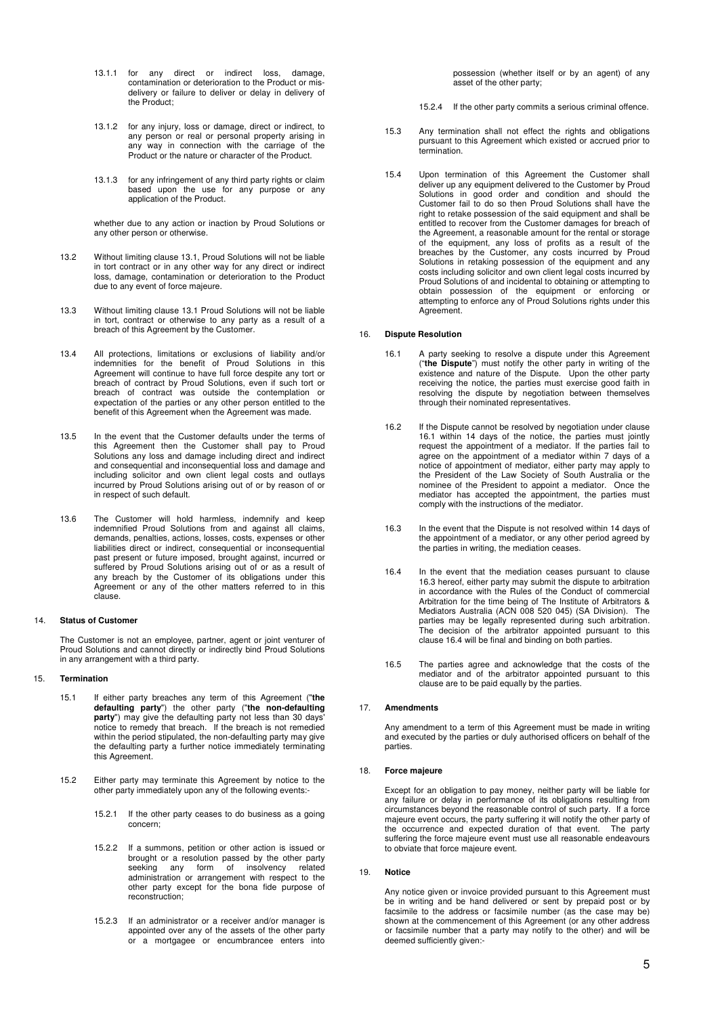- 13.1.1 for any direct or indirect loss, damage, contamination or deterioration to the Product or misdelivery or failure to deliver or delay in delivery of the Product;
- 13.1.2 for any injury, loss or damage, direct or indirect, to any person or real or personal property arising in any way in connection with the carriage of the Product or the nature or character of the Product.
- 13.1.3 for any infringement of any third party rights or claim based upon the use for any purpose or any application of the Product.

whether due to any action or inaction by Proud Solutions or any other person or otherwise.

- 13.2 Without limiting clause 13.1, Proud Solutions will not be liable in tort contract or in any other way for any direct or indirect loss, damage, contamination or deterioration to the Product due to any event of force majeure.
- 13.3 Without limiting clause 13.1 Proud Solutions will not be liable in tort, contract or otherwise to any party as a result of a breach of this Agreement by the Customer.
- 13.4 All protections, limitations or exclusions of liability and/or indemnities for the benefit of Proud Solutions in this Agreement will continue to have full force despite any tort or breach of contract by Proud Solutions, even if such tort or breach of contract was outside the contemplation or expectation of the parties or any other person entitled to the benefit of this Agreement when the Agreement was made.
- 13.5 In the event that the Customer defaults under the terms of this Agreement then the Customer shall pay to Proud Solutions any loss and damage including direct and indirect and consequential and inconsequential loss and damage and including solicitor and own client legal costs and outlays incurred by Proud Solutions arising out of or by reason of or in respect of such default.
- 13.6 The Customer will hold harmless, indemnify and keep indemnified Proud Solutions from and against all claims, demands, penalties, actions, losses, costs, expenses or other liabilities direct or indirect, consequential or inconsequential past present or future imposed, brought against, incurred or suffered by Proud Solutions arising out of or as a result of any breach by the Customer of its obligations under this Agreement or any of the other matters referred to in this clause.

#### 14. **Status of Customer**

The Customer is not an employee, partner, agent or joint venturer of Proud Solutions and cannot directly or indirectly bind Proud Solutions in any arrangement with a third party.

# 15. **Termination**

- 15.1 If either party breaches any term of this Agreement ("**the defaulting party**") the other party ("**the non-defaulting party**") may give the defaulting party not less than 30 days' notice to remedy that breach. If the breach is not remedied within the period stipulated, the non-defaulting party may give the defaulting party a further notice immediately terminating this Agreement.
- 15.2 Either party may terminate this Agreement by notice to the other party immediately upon any of the following events:-
	- 15.2.1 If the other party ceases to do business as a going concern;
	- 15.2.2 If a summons, petition or other action is issued or brought or a resolution passed by the other party seeking any form of insolvency related administration or arrangement with respect to the other party except for the bona fide purpose of reconstruction;
	- 15.2.3 If an administrator or a receiver and/or manager is appointed over any of the assets of the other party or a mortgagee or encumbrancee enters into

possession (whether itself or by an agent) of any asset of the other party;

- 15.2.4 If the other party commits a serious criminal offence.
- 15.3 Any termination shall not effect the rights and obligations pursuant to this Agreement which existed or accrued prior to termination.
- 15.4 Upon termination of this Agreement the Customer shall deliver up any equipment delivered to the Customer by Proud Solutions in good order and condition and should the Customer fail to do so then Proud Solutions shall have the right to retake possession of the said equipment and shall be entitled to recover from the Customer damages for breach of the Agreement, a reasonable amount for the rental or storage of the equipment, any loss of profits as a result of the breaches by the Customer, any costs incurred by Proud Solutions in retaking possession of the equipment and any costs including solicitor and own client legal costs incurred by Proud Solutions of and incidental to obtaining or attempting to obtain possession of the equipment or enforcing or attempting to enforce any of Proud Solutions rights under this Agreement.

### 16. **Dispute Resolution**

- 16.1 A party seeking to resolve a dispute under this Agreement ("**the Dispute**") must notify the other party in writing of the existence and nature of the Dispute. Upon the other party receiving the notice, the parties must exercise good faith in resolving the dispute by negotiation between themselves through their nominated representatives.
- 16.2 If the Dispute cannot be resolved by negotiation under clause 16.1 within 14 days of the notice, the parties must jointly request the appointment of a mediator. If the parties fail to agree on the appointment of a mediator within 7 days of a notice of appointment of mediator, either party may apply to the President of the Law Society of South Australia or the nominee of the President to appoint a mediator. Once the mediator has accepted the appointment, the parties must comply with the instructions of the mediator.
- 16.3 In the event that the Dispute is not resolved within 14 days of the appointment of a mediator, or any other period agreed by the parties in writing, the mediation ceases.
- 16.4 In the event that the mediation ceases pursuant to clause 16.3 hereof, either party may submit the dispute to arbitration in accordance with the Rules of the Conduct of commercial Arbitration for the time being of The Institute of Arbitrators & Mediators Australia (ACN 008 520 045) (SA Division). The parties may be legally represented during such arbitration. The decision of the arbitrator appointed pursuant to this clause 16.4 will be final and binding on both parties.
- 16.5 The parties agree and acknowledge that the costs of the mediator and of the arbitrator appointed pursuant to this clause are to be paid equally by the parties.

#### 17. **Amendments**

Any amendment to a term of this Agreement must be made in writing and executed by the parties or duly authorised officers on behalf of the parties.

### 18. **Force majeure**

Except for an obligation to pay money, neither party will be liable for any failure or delay in performance of its obligations resulting from circumstances beyond the reasonable control of such party. If a force majeure event occurs, the party suffering it will notify the other party of the occurrence and expected duration of that event. The party suffering the force majeure event must use all reasonable endeavours to obviate that force majeure event.

#### 19. **Notice**

Any notice given or invoice provided pursuant to this Agreement must be in writing and be hand delivered or sent by prepaid post or by facsimile to the address or facsimile number (as the case may be) shown at the commencement of this Agreement (or any other address or facsimile number that a party may notify to the other) and will be deemed sufficiently given:-